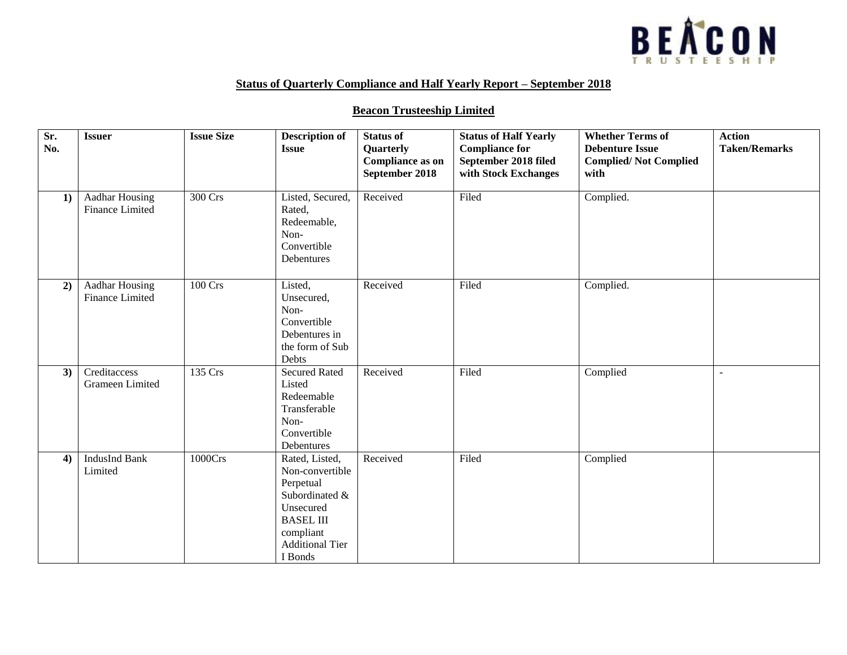

## **Status of Quarterly Compliance and Half Yearly Report – September 2018**

## **Beacon Trusteeship Limited**

| Sr.<br>No. | <b>Issuer</b>                            | <b>Issue Size</b> | <b>Description of</b><br><b>Issue</b>                                                                                                               | <b>Status of</b><br>Quarterly<br><b>Compliance as on</b><br>September 2018 | <b>Status of Half Yearly</b><br><b>Compliance for</b><br>September 2018 filed<br>with Stock Exchanges | <b>Whether Terms of</b><br><b>Debenture Issue</b><br><b>Complied/Not Complied</b><br>with | <b>Action</b><br><b>Taken/Remarks</b> |
|------------|------------------------------------------|-------------------|-----------------------------------------------------------------------------------------------------------------------------------------------------|----------------------------------------------------------------------------|-------------------------------------------------------------------------------------------------------|-------------------------------------------------------------------------------------------|---------------------------------------|
| 1)         | Aadhar Housing<br>Finance Limited        | 300 Crs           | Listed, Secured,<br>Rated,<br>Redeemable,<br>Non-<br>Convertible<br>Debentures                                                                      | Received                                                                   | Filed                                                                                                 | Complied.                                                                                 |                                       |
| 2)         | <b>Aadhar Housing</b><br>Finance Limited | 100 Crs           | Listed,<br>Unsecured,<br>Non-<br>Convertible<br>Debentures in<br>the form of Sub<br>Debts                                                           | Received                                                                   | Filed                                                                                                 | Complied.                                                                                 |                                       |
| 3)         | Creditaccess<br>Grameen Limited          | 135 Crs           | <b>Secured Rated</b><br>Listed<br>Redeemable<br>Transferable<br>Non-<br>Convertible<br>Debentures                                                   | Received                                                                   | Filed                                                                                                 | Complied                                                                                  | $\sim$                                |
| 4)         | <b>IndusInd Bank</b><br>Limited          | 1000Crs           | Rated, Listed,<br>Non-convertible<br>Perpetual<br>Subordinated &<br>Unsecured<br><b>BASEL III</b><br>compliant<br><b>Additional Tier</b><br>I Bonds | Received                                                                   | Filed                                                                                                 | Complied                                                                                  |                                       |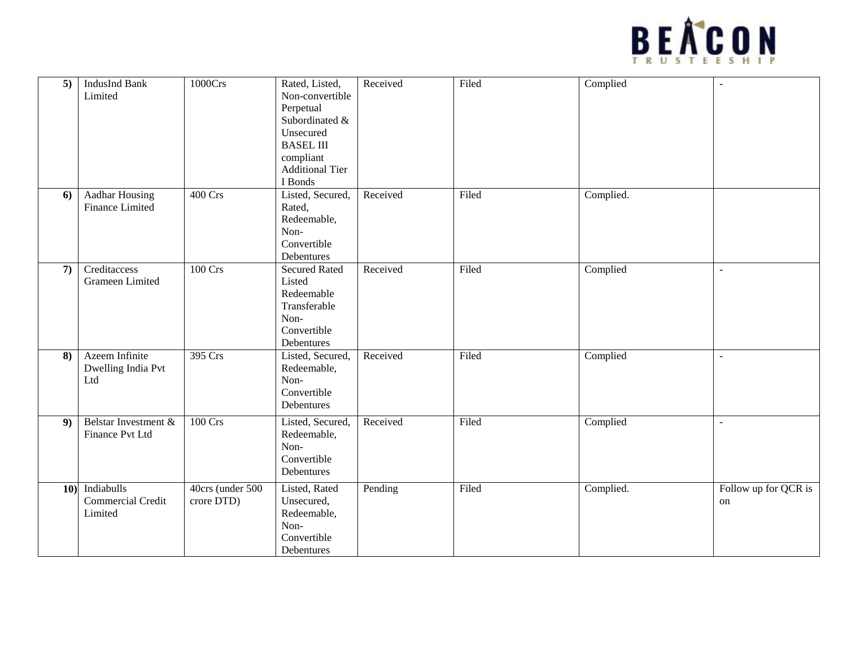

| 5)           | <b>IndusInd Bank</b><br>Limited                 | 1000Crs                        | Rated, Listed,<br>Non-convertible<br>Perpetual<br>Subordinated &<br>Unsecured<br><b>BASEL III</b><br>compliant<br><b>Additional Tier</b><br>I Bonds | Received | Filed | Complied  | $\sim$                     |
|--------------|-------------------------------------------------|--------------------------------|-----------------------------------------------------------------------------------------------------------------------------------------------------|----------|-------|-----------|----------------------------|
| 6)           | <b>Aadhar Housing</b><br><b>Finance Limited</b> | 400 Crs                        | Listed, Secured,<br>Rated,<br>Redeemable,<br>Non-<br>Convertible<br>Debentures                                                                      | Received | Filed | Complied. |                            |
| $\mathbf{7}$ | Creditaccess<br>Grameen Limited                 | <b>100 Crs</b>                 | <b>Secured Rated</b><br>Listed<br>Redeemable<br>Transferable<br>Non-<br>Convertible<br>Debentures                                                   | Received | Filed | Complied  | $\sim$                     |
| 8)           | Azeem Infinite<br>Dwelling India Pvt<br>Ltd     | 395 Crs                        | Listed, Secured,<br>Redeemable,<br>Non-<br>Convertible<br>Debentures                                                                                | Received | Filed | Complied  | $\sim$                     |
| 9)           | Belstar Investment &<br>Finance Pvt Ltd         | <b>100 Crs</b>                 | Listed, Secured,<br>Redeemable,<br>Non-<br>Convertible<br>Debentures                                                                                | Received | Filed | Complied  | $\blacksquare$             |
| 10)          | Indiabulls<br>Commercial Credit<br>Limited      | 40crs (under 500<br>crore DTD) | Listed, Rated<br>Unsecured,<br>Redeemable,<br>Non-<br>Convertible<br>Debentures                                                                     | Pending  | Filed | Complied. | Follow up for QCR is<br>on |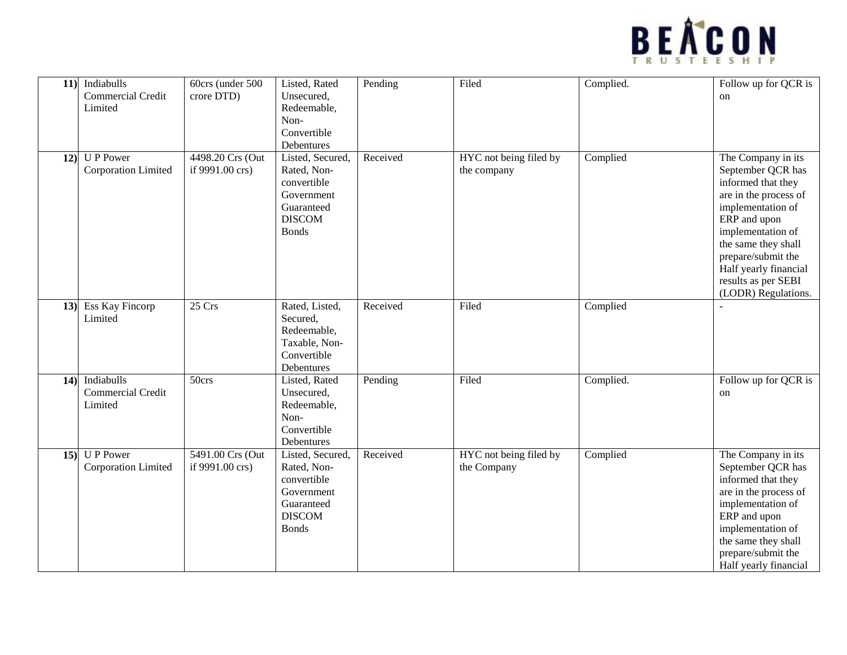

| 11) | Indiabulls                                 | 60crs (under 500                    | Listed, Rated                                                                                               | Pending  | Filed                                 | Complied. | Follow up for QCR is                                                                                                                                                                                                   |
|-----|--------------------------------------------|-------------------------------------|-------------------------------------------------------------------------------------------------------------|----------|---------------------------------------|-----------|------------------------------------------------------------------------------------------------------------------------------------------------------------------------------------------------------------------------|
|     | Commercial Credit                          | crore DTD)                          | Unsecured,                                                                                                  |          |                                       |           | $_{\rm on}$                                                                                                                                                                                                            |
|     | Limited                                    |                                     | Redeemable,                                                                                                 |          |                                       |           |                                                                                                                                                                                                                        |
|     |                                            |                                     | Non-                                                                                                        |          |                                       |           |                                                                                                                                                                                                                        |
|     |                                            |                                     | Convertible                                                                                                 |          |                                       |           |                                                                                                                                                                                                                        |
|     |                                            |                                     | Debentures                                                                                                  |          |                                       |           |                                                                                                                                                                                                                        |
| 12) | <b>UP</b> Power<br>Corporation Limited     | 4498.20 Crs (Out<br>if 9991.00 crs) | Listed, Secured,<br>Rated, Non-<br>convertible<br>Government<br>Guaranteed<br><b>DISCOM</b><br><b>Bonds</b> | Received | HYC not being filed by<br>the company | Complied  | The Company in its<br>September QCR has<br>informed that they<br>are in the process of<br>implementation of<br>ERP and upon<br>implementation of<br>the same they shall<br>prepare/submit the<br>Half yearly financial |
|     |                                            |                                     |                                                                                                             |          |                                       |           | results as per SEBI<br>(LODR) Regulations.                                                                                                                                                                             |
| 13) | Ess Kay Fincorp<br>Limited                 | 25 Crs                              | Rated, Listed,<br>Secured,<br>Redeemable,<br>Taxable, Non-<br>Convertible<br>Debentures                     | Received | Filed                                 | Complied  |                                                                                                                                                                                                                        |
| 14) | Indiabulls<br>Commercial Credit<br>Limited | $\overline{50}$ crs                 | Listed, Rated<br>Unsecured,<br>Redeemable,<br>Non-<br>Convertible<br>Debentures                             | Pending  | Filed                                 | Complied. | Follow up for QCR is<br>on                                                                                                                                                                                             |
| 15) | U P Power<br>Corporation Limited           | 5491.00 Crs (Out<br>if 9991.00 crs) | Listed, Secured,<br>Rated, Non-<br>convertible<br>Government<br>Guaranteed<br><b>DISCOM</b><br><b>Bonds</b> | Received | HYC not being filed by<br>the Company | Complied  | The Company in its<br>September QCR has<br>informed that they<br>are in the process of<br>implementation of<br>ERP and upon<br>implementation of<br>the same they shall<br>prepare/submit the<br>Half yearly financial |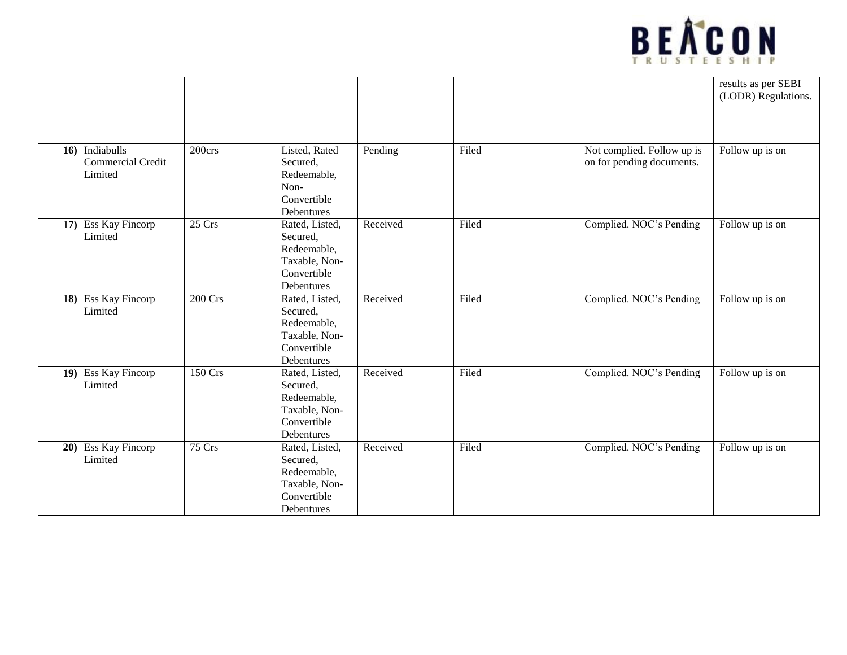

|     |                                            |                |                                                                                         |          |       |                                                         | results as per SEBI<br>(LODR) Regulations. |
|-----|--------------------------------------------|----------------|-----------------------------------------------------------------------------------------|----------|-------|---------------------------------------------------------|--------------------------------------------|
| 16) | Indiabulls<br>Commercial Credit<br>Limited | 200crs         | Listed, Rated<br>Secured,<br>Redeemable,<br>Non-<br>Convertible<br>Debentures           | Pending  | Filed | Not complied. Follow up is<br>on for pending documents. | Follow up is on                            |
| 17) | Ess Kay Fincorp<br>Limited                 | 25 Crs         | Rated, Listed,<br>Secured,<br>Redeemable,<br>Taxable, Non-<br>Convertible<br>Debentures | Received | Filed | Complied. NOC's Pending                                 | Follow up is on                            |
| 18) | Ess Kay Fincorp<br>Limited                 | <b>200 Crs</b> | Rated, Listed,<br>Secured,<br>Redeemable,<br>Taxable, Non-<br>Convertible<br>Debentures | Received | Filed | Complied. NOC's Pending                                 | Follow up is on                            |
| 19) | Ess Kay Fincorp<br>Limited                 | 150 Crs        | Rated, Listed,<br>Secured,<br>Redeemable,<br>Taxable, Non-<br>Convertible<br>Debentures | Received | Filed | Complied. NOC's Pending                                 | Follow up is on                            |
| 20) | <b>Ess Kay Fincorp</b><br>Limited          | 75 Crs         | Rated, Listed,<br>Secured,<br>Redeemable,<br>Taxable, Non-<br>Convertible<br>Debentures | Received | Filed | Complied. NOC's Pending                                 | Follow up is on                            |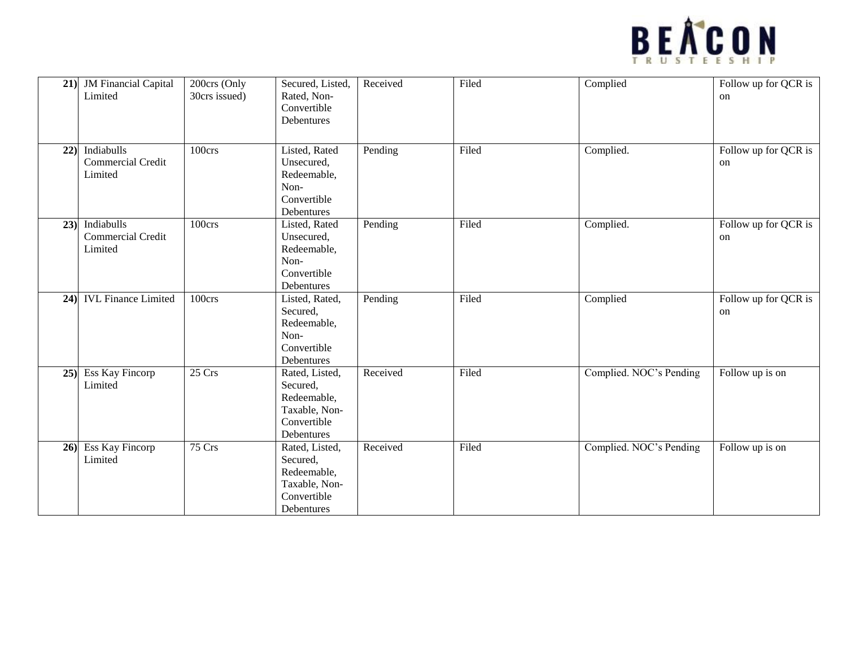

| 21)    | <b>JM Financial Capital</b><br>Limited            | 200crs (Only<br>30crs issued) | Secured, Listed,<br>Rated, Non-<br>Convertible<br>Debentures                            | Received | Filed | Complied                | Follow up for QCR is<br>on |
|--------|---------------------------------------------------|-------------------------------|-----------------------------------------------------------------------------------------|----------|-------|-------------------------|----------------------------|
| 22)    | Indiabulls<br><b>Commercial Credit</b><br>Limited | 100crs                        | Listed, Rated<br>Unsecured,<br>Redeemable,<br>Non-<br>Convertible<br>Debentures         | Pending  | Filed | Complied.               | Follow up for QCR is<br>on |
| 23)    | Indiabulls<br><b>Commercial Credit</b><br>Limited | 100crs                        | Listed, Rated<br>Unsecured,<br>Redeemable,<br>Non-<br>Convertible<br>Debentures         | Pending  | Filed | Complied.               | Follow up for QCR is<br>on |
| 24)    | <b>IVL Finance Limited</b>                        | 100crs                        | Listed, Rated,<br>Secured,<br>Redeemable,<br>Non-<br>Convertible<br>Debentures          | Pending  | Filed | Complied                | Follow up for QCR is<br>on |
| $25$ ) | Ess Kay Fincorp<br>Limited                        | 25 Crs                        | Rated, Listed,<br>Secured,<br>Redeemable,<br>Taxable, Non-<br>Convertible<br>Debentures | Received | Filed | Complied. NOC's Pending | Follow up is on            |
| 26)    | <b>Ess Kay Fincorp</b><br>Limited                 | 75 Crs                        | Rated, Listed,<br>Secured,<br>Redeemable,<br>Taxable, Non-<br>Convertible<br>Debentures | Received | Filed | Complied. NOC's Pending | Follow up is on            |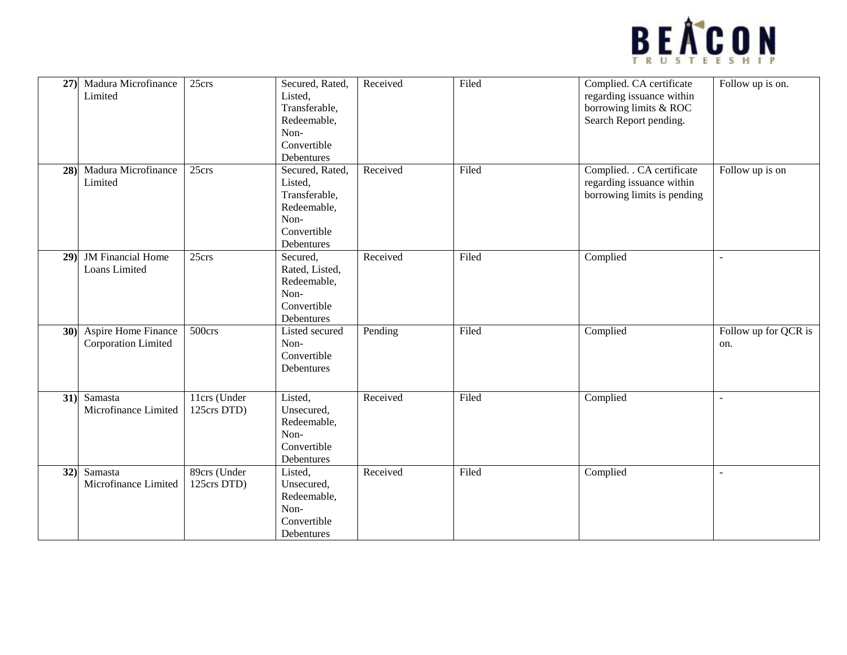

| 27) | Madura Microfinance<br>Limited             | 25crs                       | Secured, Rated,<br>Listed,<br>Transferable,<br>Redeemable,<br>Non-<br>Convertible<br>Debentures | Received | Filed | Complied. CA certificate<br>regarding issuance within<br>borrowing limits & ROC<br>Search Report pending. | Follow up is on.            |
|-----|--------------------------------------------|-----------------------------|-------------------------------------------------------------------------------------------------|----------|-------|-----------------------------------------------------------------------------------------------------------|-----------------------------|
| 28  | Madura Microfinance<br>Limited             | 25crs                       | Secured, Rated,<br>Listed,<br>Transferable,<br>Redeemable,<br>Non-<br>Convertible<br>Debentures | Received | Filed | Complied. . CA certificate<br>regarding issuance within<br>borrowing limits is pending                    | Follow up is on             |
| 29  | <b>JM</b> Financial Home<br>Loans Limited  | 25crs                       | Secured,<br>Rated, Listed,<br>Redeemable,<br>Non-<br>Convertible<br>Debentures                  | Received | Filed | Complied                                                                                                  |                             |
| 30) | Aspire Home Finance<br>Corporation Limited | 500 <sub>crs</sub>          | Listed secured<br>Non-<br>Convertible<br>Debentures                                             | Pending  | Filed | Complied                                                                                                  | Follow up for QCR is<br>on. |
| 31) | Samasta<br>Microfinance Limited            | 11crs (Under<br>125crs DTD) | Listed,<br>Unsecured,<br>Redeemable,<br>Non-<br>Convertible<br>Debentures                       | Received | Filed | Complied                                                                                                  | $\overline{a}$              |
| 32) | Samasta<br>Microfinance Limited            | 89crs (Under<br>125crs DTD) | Listed,<br>Unsecured,<br>Redeemable,<br>Non-<br>Convertible<br>Debentures                       | Received | Filed | Complied                                                                                                  | $\overline{a}$              |